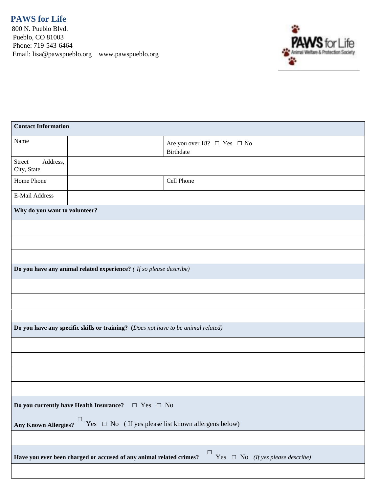**PAWS for Life**

800 N. Pueblo Blvd. Pueblo, CO 81003 Phone: 719-543-6464 Email: lisa@pawspueblo.org www.pawspueblo.org



| <b>Contact Information</b>                                                                                    |  |                                                    |  |  |  |
|---------------------------------------------------------------------------------------------------------------|--|----------------------------------------------------|--|--|--|
| Name                                                                                                          |  | Are you over 18? $\Box$ Yes $\Box$ No<br>Birthdate |  |  |  |
| Address,<br>Street<br>City, State                                                                             |  |                                                    |  |  |  |
| Home Phone                                                                                                    |  | Cell Phone                                         |  |  |  |
| E-Mail Address                                                                                                |  |                                                    |  |  |  |
| Why do you want to volunteer?                                                                                 |  |                                                    |  |  |  |
|                                                                                                               |  |                                                    |  |  |  |
|                                                                                                               |  |                                                    |  |  |  |
|                                                                                                               |  |                                                    |  |  |  |
| Do you have any animal related experience? ( If so please describe)                                           |  |                                                    |  |  |  |
|                                                                                                               |  |                                                    |  |  |  |
|                                                                                                               |  |                                                    |  |  |  |
|                                                                                                               |  |                                                    |  |  |  |
| Do you have any specific skills or training? (Does not have to be animal related)                             |  |                                                    |  |  |  |
|                                                                                                               |  |                                                    |  |  |  |
|                                                                                                               |  |                                                    |  |  |  |
|                                                                                                               |  |                                                    |  |  |  |
|                                                                                                               |  |                                                    |  |  |  |
| Do you currently have Health Insurance? $\Box$ Yes $\Box$ No                                                  |  |                                                    |  |  |  |
| Any Known Allergies? $\Box$ Yes $\Box$ No (If yes please list known allergens below)                          |  |                                                    |  |  |  |
|                                                                                                               |  |                                                    |  |  |  |
| Yes $\Box$ No (If yes please describe)<br>Have you ever been charged or accused of any animal related crimes? |  |                                                    |  |  |  |
|                                                                                                               |  |                                                    |  |  |  |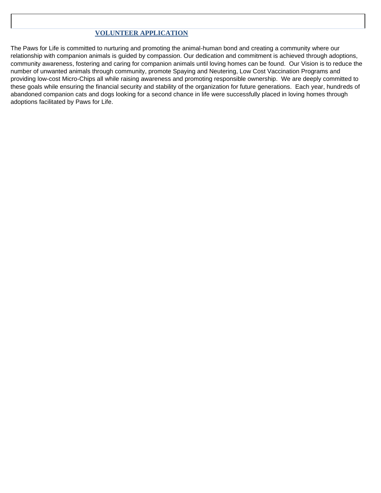## **VOLUNTEER APPLICATION**

The Paws for Life is committed to nurturing and promoting the animal-human bond and creating a community where our relationship with companion animals is guided by compassion. Our dedication and commitment is achieved through adoptions, community awareness, fostering and caring for companion animals until loving homes can be found. Our Vision is to reduce the number of unwanted animals through community, promote Spaying and Neutering, Low Cost Vaccination Programs and providing low-cost Micro-Chips all while raising awareness and promoting responsible ownership. We are deeply committed to these goals while ensuring the financial security and stability of the organization for future generations. Each year, hundreds of abandoned companion cats and dogs looking for a second chance in life were successfully placed in loving homes through adoptions facilitated by Paws for Life.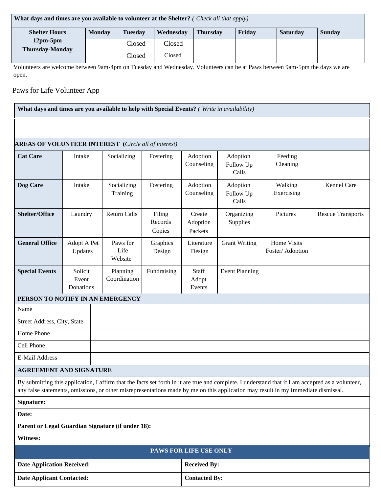| What days and times are you available to volunteer at the Shelter? (Check all that apply) |               |         |           |                 |        |                 |               |
|-------------------------------------------------------------------------------------------|---------------|---------|-----------|-----------------|--------|-----------------|---------------|
| <b>Shelter Hours</b>                                                                      | <b>Monday</b> | Tuesdav | Wednesday | <b>Thursday</b> | Fridav | <b>Saturday</b> | <b>Sunday</b> |
| $12pm-5pm$<br><b>Thursday-Monday</b>                                                      |               | Closed  | Closed    |                 |        |                 |               |
|                                                                                           |               | Closed  | Closed    |                 |        |                 |               |

Volunteers are welcome between 9am-4pm on Tuesday and Wednesday. Volunteers can be at Paws between 9am-5pm the days we are open.

## Paws for Life Volunteer App

**What days and times are you available to help with Special Events?** *( Write in availability)*

Date Applicant Contacted: **Contacted:** Contacted By:

## **AREAS OF VOLUNTEER INTEREST (***Circle all of interest)*

| $\bf{ALAB}$ or voluting the $\bf{LCAE31}$ (circle and of merest)                                                                                                                                                                                                                       |                               |                             |                             |                               |                                |                                 |                          |
|----------------------------------------------------------------------------------------------------------------------------------------------------------------------------------------------------------------------------------------------------------------------------------------|-------------------------------|-----------------------------|-----------------------------|-------------------------------|--------------------------------|---------------------------------|--------------------------|
| <b>Cat Care</b>                                                                                                                                                                                                                                                                        | Intake                        | Socializing                 | Fostering                   | Adoption<br>Counseling        | Adoption<br>Follow Up<br>Calls | Feeding<br>Cleaning             |                          |
| Dog Care                                                                                                                                                                                                                                                                               | Intake                        | Socializing<br>Training     | Fostering                   | Adoption<br>Counseling        | Adoption<br>Follow Up<br>Calls | Walking<br>Exercising           | Kennel Care              |
| <b>Shelter/Office</b>                                                                                                                                                                                                                                                                  | Laundry                       | <b>Return Calls</b>         | Filing<br>Records<br>Copies | Create<br>Adoption<br>Packets | Organizing<br>Supplies         | Pictures                        | <b>Rescue Transports</b> |
| <b>General Office</b>                                                                                                                                                                                                                                                                  | Adopt A Pet<br>Updates        | Paws for<br>Life<br>Website | Graphics<br>Design          | Literature<br>Design          | <b>Grant Writing</b>           | Home Visits<br>Foster/ Adoption |                          |
| <b>Special Events</b>                                                                                                                                                                                                                                                                  | Solicit<br>Event<br>Donations | Planning<br>Coordination    | Fundraising                 | Staff<br>Adopt<br>Events      | <b>Event Planning</b>          |                                 |                          |
| PERSON TO NOTIFY IN AN EMERGENCY                                                                                                                                                                                                                                                       |                               |                             |                             |                               |                                |                                 |                          |
| Name                                                                                                                                                                                                                                                                                   |                               |                             |                             |                               |                                |                                 |                          |
| Street Address, City, State                                                                                                                                                                                                                                                            |                               |                             |                             |                               |                                |                                 |                          |
| Home Phone                                                                                                                                                                                                                                                                             |                               |                             |                             |                               |                                |                                 |                          |
| Cell Phone                                                                                                                                                                                                                                                                             |                               |                             |                             |                               |                                |                                 |                          |
| E-Mail Address                                                                                                                                                                                                                                                                         |                               |                             |                             |                               |                                |                                 |                          |
| <b>AGREEMENT AND SIGNATURE</b>                                                                                                                                                                                                                                                         |                               |                             |                             |                               |                                |                                 |                          |
| By submitting this application, I affirm that the facts set forth in it are true and complete. I understand that if I am accepted as a volunteer,<br>any false statements, omissions, or other misrepresentations made by me on this application may result in my immediate dismissal. |                               |                             |                             |                               |                                |                                 |                          |
| Signature:                                                                                                                                                                                                                                                                             |                               |                             |                             |                               |                                |                                 |                          |
| Date:                                                                                                                                                                                                                                                                                  |                               |                             |                             |                               |                                |                                 |                          |
| Parent or Legal Guardian Signature (if under 18):                                                                                                                                                                                                                                      |                               |                             |                             |                               |                                |                                 |                          |
| <b>Witness:</b>                                                                                                                                                                                                                                                                        |                               |                             |                             |                               |                                |                                 |                          |
| PAWS FOR LIFE USE ONLY                                                                                                                                                                                                                                                                 |                               |                             |                             |                               |                                |                                 |                          |
| <b>Date Application Received:</b>                                                                                                                                                                                                                                                      |                               |                             | <b>Received By:</b>         |                               |                                |                                 |                          |